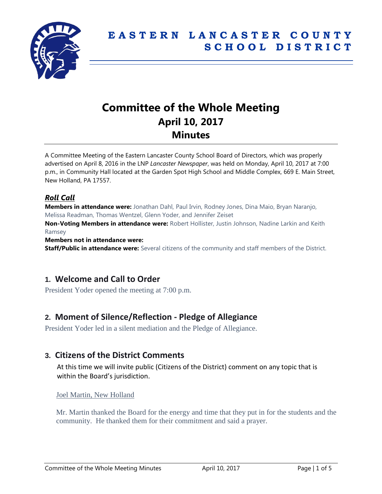

# **Committee of the Whole Meeting April 10, 2017 Minutes**

A Committee Meeting of the Eastern Lancaster County School Board of Directors, which was properly advertised on April 8, 2016 in the LNP *Lancaster Newspaper*, was held on Monday, April 10, 2017 at 7:00 p.m., in Community Hall located at the Garden Spot High School and Middle Complex, 669 E. Main Street, New Holland, PA 17557.

## *Roll Call*

**Members in attendance were:** Jonathan Dahl, Paul Irvin, Rodney Jones, Dina Maio, Bryan Naranjo, Melissa Readman, Thomas Wentzel, Glenn Yoder, and Jennifer Zeiset

**Non-Voting Members in attendance were:** Robert Hollister, Justin Johnson, Nadine Larkin and Keith Ramsey

**Members not in attendance were:**

**Staff/Public in attendance were:** Several citizens of the community and staff members of the District.

## **1. Welcome and Call to Order**

President Yoder opened the meeting at 7:00 p.m.

## **2. Moment of Silence/Reflection - Pledge of Allegiance**

President Yoder led in a silent mediation and the Pledge of Allegiance.

## **3. Citizens of the District Comments**

At this time we will invite public (Citizens of the District) comment on any topic that is within the Board's jurisdiction.

Joel Martin, New Holland

Mr. Martin thanked the Board for the energy and time that they put in for the students and the community. He thanked them for their commitment and said a prayer.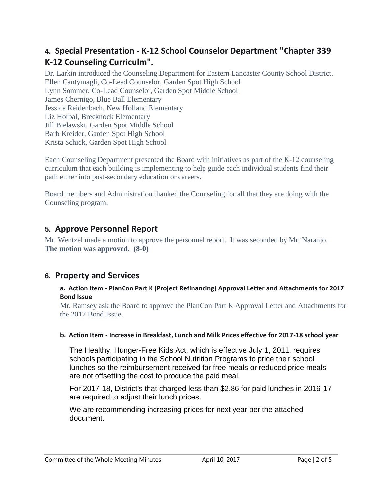# **4. Special Presentation - K-12 School Counselor Department "Chapter 339 K-12 Counseling Curriculm".**

Dr. Larkin introduced the Counseling Department for Eastern Lancaster County School District. Ellen Cantymagli, Co-Lead Counselor, Garden Spot High School Lynn Sommer, Co-Lead Counselor, Garden Spot Middle School James Chernigo, Blue Ball Elementary Jessica Reidenbach, New Holland Elementary Liz Horbal, Brecknock Elementary Jill Bielawski, Garden Spot Middle School Barb Kreider, Garden Spot High School Krista Schick, Garden Spot High School

Each Counseling Department presented the Board with initiatives as part of the K-12 counseling curriculum that each building is implementing to help guide each individual students find their path either into post-secondary education or careers.

Board members and Administration thanked the Counseling for all that they are doing with the Counseling program.

# **5. Approve Personnel Report**

Mr. Wentzel made a motion to approve the personnel report. It was seconded by Mr. Naranjo. **The motion was approved. (8-0)**

## **6. Property and Services**

## **a. Action Item - PlanCon Part K (Project Refinancing) Approval Letter and Attachments for 2017 Bond Issue**

Mr. Ramsey ask the Board to approve the PlanCon Part K Approval Letter and Attachments for the 2017 Bond Issue.

## **b. Action Item - Increase in Breakfast, Lunch and Milk Prices effective for 2017-18 school year**

The Healthy, Hunger-Free Kids Act, which is effective July 1, 2011, requires schools participating in the School Nutrition Programs to price their school lunches so the reimbursement received for free meals or reduced price meals are not offsetting the cost to produce the paid meal.

For 2017-18, District's that charged less than \$2.86 for paid lunches in 2016-17 are required to adjust their lunch prices.

We are recommending increasing prices for next year per the attached document.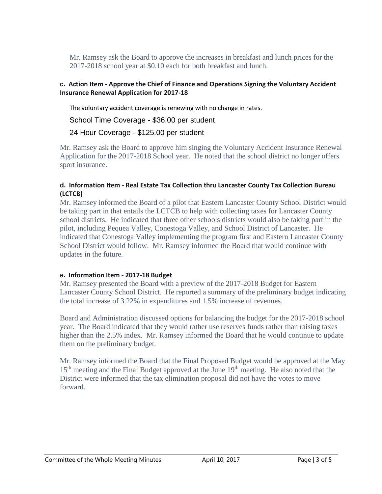Mr. Ramsey ask the Board to approve the increases in breakfast and lunch prices for the 2017-2018 school year at \$0.10 each for both breakfast and lunch.

## **c. Action Item - Approve the Chief of Finance and Operations Signing the Voluntary Accident Insurance Renewal Application for 2017-18**

The voluntary accident coverage is renewing with no change in rates.

School Time Coverage - \$36.00 per student

24 Hour Coverage - \$125.00 per student

Mr. Ramsey ask the Board to approve him singing the Voluntary Accident Insurance Renewal Application for the 2017-2018 School year. He noted that the school district no longer offers sport insurance.

## **d. Information Item - Real Estate Tax Collection thru Lancaster County Tax Collection Bureau (LCTCB)**

Mr. Ramsey informed the Board of a pilot that Eastern Lancaster County School District would be taking part in that entails the LCTCB to help with collecting taxes for Lancaster County school districts. He indicated that three other schools districts would also be taking part in the pilot, including Pequea Valley, Conestoga Valley, and School District of Lancaster. He indicated that Conestoga Valley implementing the program first and Eastern Lancaster County School District would follow. Mr. Ramsey informed the Board that would continue with updates in the future.

## **e. Information Item - 2017-18 Budget**

Mr. Ramsey presented the Board with a preview of the 2017-2018 Budget for Eastern Lancaster County School District. He reported a summary of the preliminary budget indicating the total increase of 3.22% in expenditures and 1.5% increase of revenues.

Board and Administration discussed options for balancing the budget for the 2017-2018 school year. The Board indicated that they would rather use reserves funds rather than raising taxes higher than the 2.5% index. Mr. Ramsey informed the Board that he would continue to update them on the preliminary budget.

Mr. Ramsey informed the Board that the Final Proposed Budget would be approved at the May 15<sup>th</sup> meeting and the Final Budget approved at the June 19<sup>th</sup> meeting. He also noted that the District were informed that the tax elimination proposal did not have the votes to move forward.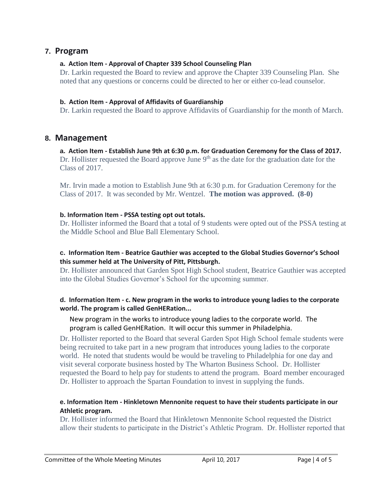## **7. Program**

## **a. Action Item - Approval of Chapter 339 School Counseling Plan**

Dr. Larkin requested the Board to review and approve the Chapter 339 Counseling Plan. She noted that any questions or concerns could be directed to her or either co-lead counselor.

#### **b. Action Item - Approval of Affidavits of Guardianship**

Dr. Larkin requested the Board to approve Affidavits of Guardianship for the month of March.

## **8. Management**

**a. Action Item - Establish June 9th at 6:30 p.m. for Graduation Ceremony for the Class of 2017.** Dr. Hollister requested the Board approve June  $9<sup>th</sup>$  as the date for the graduation date for the Class of 2017.

Mr. Irvin made a motion to Establish June 9th at 6:30 p.m. for Graduation Ceremony for the Class of 2017. It was seconded by Mr. Wentzel. **The motion was approved. (8-0)**

#### **b. Information Item - PSSA testing opt out totals.**

Dr. Hollister informed the Board that a total of 9 students were opted out of the PSSA testing at the Middle School and Blue Ball Elementary School.

#### **c. Information Item - Beatrice Gauthier was accepted to the Global Studies Governor's School this summer held at The University of Pitt, Pittsburgh.**

Dr. Hollister announced that Garden Spot High School student, Beatrice Gauthier was accepted into the Global Studies Governor's School for the upcoming summer.

#### **d. Information Item - c. New program in the works to introduce young ladies to the corporate world. The program is called GenHERation...**

## New program in the works to introduce young ladies to the corporate world. The program is called GenHERation. It will occur this summer in Philadelphia.

Dr. Hollister reported to the Board that several Garden Spot High School female students were being recruited to take part in a new program that introduces young ladies to the corporate world. He noted that students would be would be traveling to Philadelphia for one day and visit several corporate business hosted by The Wharton Business School. Dr. Hollister requested the Board to help pay for students to attend the program. Board member encouraged Dr. Hollister to approach the Spartan Foundation to invest in supplying the funds.

## **e. Information Item - Hinkletown Mennonite request to have their students participate in our Athletic program.**

Dr. Hollister informed the Board that Hinkletown Mennonite School requested the District allow their students to participate in the District's Athletic Program. Dr. Hollister reported that